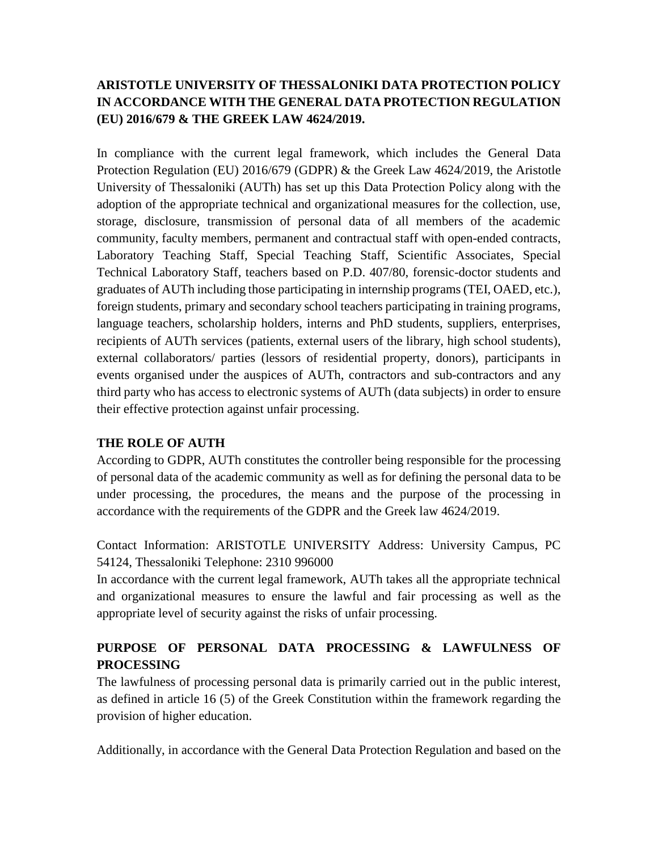## **ARISTOTLE UNIVERSITY OF THESSALONIKI DATA PROTECTION POLICY IN ACCORDANCE WITH THE GENERAL DATA PROTECTION REGULATION (EU) 2016/679 & THE GREEK LAW 4624/2019.**

In compliance with the current legal framework, which includes the General Data Protection Regulation (EU) 2016/679 (GDPR) & the Greek Law 4624/2019, the Aristotle University of Thessaloniki (AUTh) has set up this Data Protection Policy along with the adoption of the appropriate technical and organizational measures for the collection, use, storage, disclosure, transmission of personal data of all members of the academic community, faculty members, permanent and contractual staff with open-ended contracts, Laboratory Teaching Staff, Special Teaching Staff, Scientific Associates, Special Technical Laboratory Staff, teachers based on P.D. 407/80, forensic-doctor students and graduates of AUTh including those participating in internship programs (TEI, OAED, etc.), foreign students, primary and secondary school teachers participating in training programs, language teachers, scholarship holders, interns and PhD students, suppliers, enterprises, recipients of AUTh services (patients, external users of the library, high school students), external collaborators/ parties (lessors of residential property, donors), participants in events organised under the auspices of AUTh, contractors and sub-contractors and any third party who has access to electronic systems of AUTh (data subjects) in order to ensure their effective protection against unfair processing.

### **THE ROLE OF AUTH**

According to GDPR, AUTh constitutes the controller being responsible for the processing of personal data of the academic community as well as for defining the personal data to be under processing, the procedures, the means and the purpose of the processing in accordance with the requirements of the GDPR and the Greek law 4624/2019.

Contact Information: ARISTOTLE UNIVERSITY Address: University Campus, PC 54124, Thessaloniki Telephone: 2310 996000

In accordance with the current legal framework, AUTh takes all the appropriate technical and organizational measures to ensure the lawful and fair processing as well as the appropriate level of security against the risks of unfair processing.

# **PURPOSE OF PERSONAL DATA PROCESSING & LAWFULNESS OF PROCESSING**

The lawfulness of processing personal data is primarily carried out in the public interest, as defined in article 16 (5) of the Greek Constitution within the framework regarding the provision of higher education.

Additionally, in accordance with the General Data Protection Regulation and based on the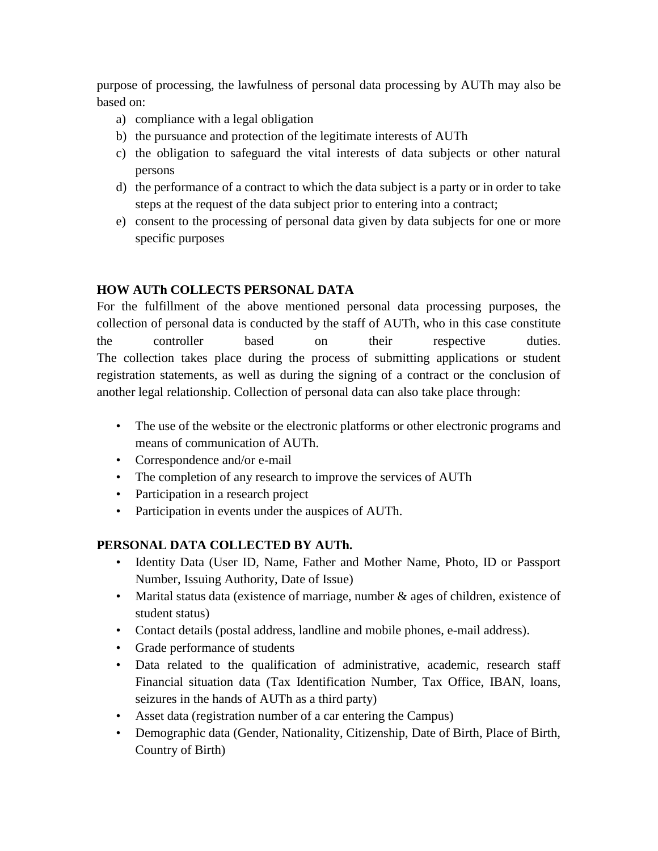purpose of processing, the lawfulness of personal data processing by AUTh may also be based on:

- a) compliance with a legal obligation
- b) the pursuance and protection of the legitimate interests of AUTh
- c) the obligation to safeguard the vital interests of data subjects or other natural persons
- d) the performance of a contract to which the data subject is a party or in order to take steps at the request of the data subject prior to entering into a contract;
- e) consent to the processing of personal data given by data subjects for one or more specific purposes

## **HOW AUTh COLLECTS PERSONAL DATA**

For the fulfillment of the above mentioned personal data processing purposes, the collection of personal data is conducted by the staff of AUTh, who in this case constitute the controller based on their respective duties. The collection takes place during the process of submitting applications or student registration statements, as well as during the signing of a contract or the conclusion of another legal relationship. Collection of personal data can also take place through:

- The use of the website or the electronic platforms or other electronic programs and means of communication of AUTh.
- Correspondence and/or e-mail
- The completion of any research to improve the services of AUTh
- Participation in a research project
- Participation in events under the auspices of AUTh.

## **PERSONAL DATA COLLECTED BY AUTh.**

- Identity Data (User ID, Name, Father and Mother Name, Photo, ID or Passport Number, Issuing Authority, Date of Issue)
- Marital status data (existence of marriage, number & ages of children, existence of student status)
- Contact details (postal address, landline and mobile phones, e-mail address).
- Grade performance of students
- Data related to the qualification of administrative, academic, research staff Financial situation data (Tax Identification Number, Tax Office, IBAN, loans, seizures in the hands of AUTh as a third party)
- Asset data (registration number of a car entering the Campus)
- Demographic data (Gender, Nationality, Citizenship, Date of Birth, Place of Birth, Country of Birth)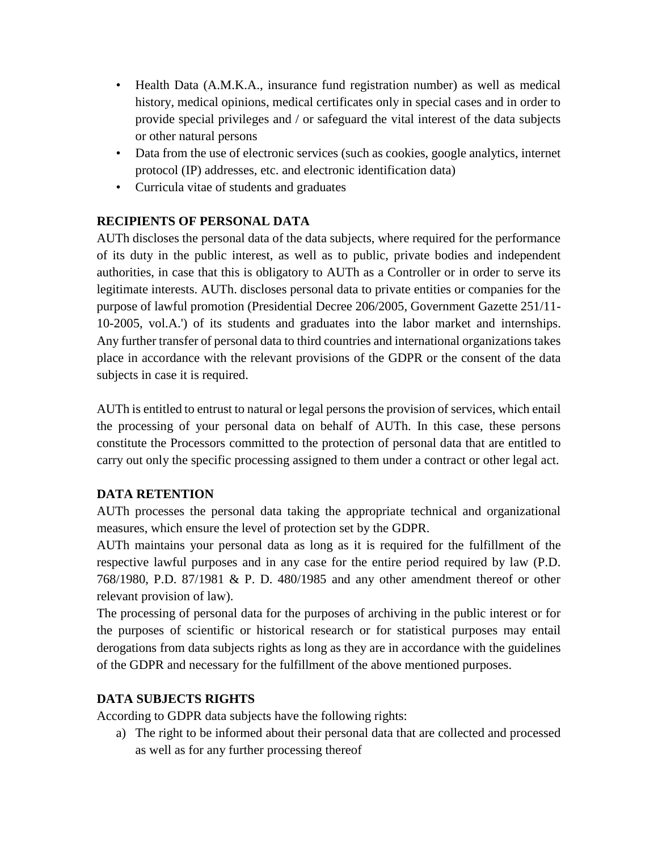- Health Data (A.M.K.A., insurance fund registration number) as well as medical history, medical opinions, medical certificates only in special cases and in order to provide special privileges and / or safeguard the vital interest of the data subjects or other natural persons
- Data from the use of electronic services (such as cookies, google analytics, internet protocol (IP) addresses, etc. and electronic identification data)
- Curricula vitae of students and graduates

### **RECIPIENTS OF PERSONAL DATA**

AUTh discloses the personal data of the data subjects, where required for the performance of its duty in the public interest, as well as to public, private bodies and independent authorities, in case that this is obligatory to AUTh as a Controller or in order to serve its legitimate interests. AUTh. discloses personal data to private entities or companies for the purpose of lawful promotion (Presidential Decree 206/2005, Government Gazette 251/11- 10-2005, vol.A.') of its students and graduates into the labor market and internships. Any further transfer of personal data to third countries and international organizations takes place in accordance with the relevant provisions of the GDPR or the consent of the data subjects in case it is required.

AUTh is entitled to entrust to natural or legal persons the provision of services, which entail the processing of your personal data on behalf of AUTh. In this case, these persons constitute the Processors committed to the protection of personal data that are entitled to carry out only the specific processing assigned to them under a contract or other legal act.

## **DATA RETENTION**

AUTh processes the personal data taking the appropriate technical and organizational measures, which ensure the level of protection set by the GDPR.

AUTh maintains your personal data as long as it is required for the fulfillment of the respective lawful purposes and in any case for the entire period required by law (P.D. 768/1980, P.D. 87/1981 & P. D. 480/1985 and any other amendment thereof or other relevant provision of law).

The processing of personal data for the purposes of archiving in the public interest or for the purposes of scientific or historical research or for statistical purposes may entail derogations from data subjects rights as long as they are in accordance with the guidelines of the GDPR and necessary for the fulfillment of the above mentioned purposes.

### **DATA SUBJECTS RIGHTS**

According to GDPR data subjects have the following rights:

a) The right to be informed about their personal data that are collected and processed as well as for any further processing thereof